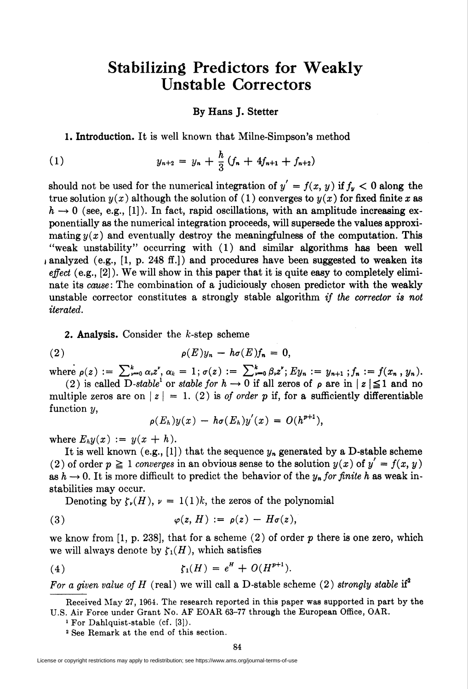## Stabilizing Predictors for Weakly Unstable Correctors

## By Hans J. Stetter

1. Introduction. It is well known that Milne-Simpson's method

(1) 
$$
y_{n+2} = y_n + \frac{h}{3} (f_n + 4f_{n+1} + f_{n+2})
$$

should not be used for the numerical integration of  $y' = f(x, y)$  if  $f_y < 0$  along the true solution  $y(x)$  although the solution of (1) converges to  $y(x)$  for fixed finite x as  $h \to 0$  (see, e.g., [1]). In fact, rapid oscillations, with an amplitude increasing exponentially as the numerical integration proceeds, will supersede the values approximating  $y(x)$  and eventually destroy the meaningfulness of the computation. This "weak unstability" occurring with (1) and similar algorithms has been well i analyzed (e.g., [1, p. 248 ff.]) and procedures have been suggested to weaken its effect  $(e.g., [2])$ . We will show in this paper that it is quite easy to completely eliminate its cause: The combination of a judiciously chosen predictor with the weakly unstable corrector constitutes a strongly stable algorithm if the corrector is not iterated.

2. Analysis. Consider the  $k$ -step scheme

(2) 
$$
\rho(E)y_n - h\sigma(E)f_n = 0,
$$

where  $\rho(z) := \sum_{r=0}^k \alpha_r z^r, \, \alpha_k = 1; \sigma(z) := \sum_{r=0}^k \beta_r z^r; E y_n := y_{n+1} ; f_n := f(x_n, y_n).$ (2) is called  $\overline{D}$ -stable<sup>1</sup> or stable for  $h \to 0$  if all zeros of  $\rho$  are in  $|z| \leq 1$  and no

multiple zeros are on  $|z| = 1$ . (2) is of order p if, for a sufficiently differentiable function  $y$ ,

$$
\rho(E_h)y(x) - h\sigma(E_h)y'(x) = O(h^{p+1}),
$$

where  $E_h y(x) := y(x + h)$ .

It is well known (e.g., [1]) that the sequence  $y_n$  generated by a D-stable scheme (2) of order  $p \ge 1$  converges in an obvious sense to the solution  $y(x)$  of  $y' = f(x, y)$ as  $h \to 0$ . It is more difficult to predict the behavior of the  $y_n$  for finite h as weak instabilities may occur.

Denoting by  $\zeta_{\nu}(H)$ ,  $\nu = 1(1)k$ , the zeros of the polynomial

(3) 
$$
\varphi(z, H) := \rho(z) - H\sigma(z),
$$

we know from  $[1, p. 238]$ , that for a scheme  $(2)$  of order p there is one zero, which we will always denote by  $\zeta_1(H)$ , which satisfies

(4) 
$$
\zeta_1(H) = e^H + O(H^{p+1}).
$$

For a given value of H (real) we will call a D-stable scheme (2) strongly stable if<sup>2</sup>

Received May 27, 1964. The research reported in this paper was supported in part by the U.S. Air Force under Grant No. AF EOAR 63-77 through the European Office, OAR.

<sup>1</sup> For Dahlquist-stable (cf. [3]).

<sup>2</sup> See Remark at the end of this section.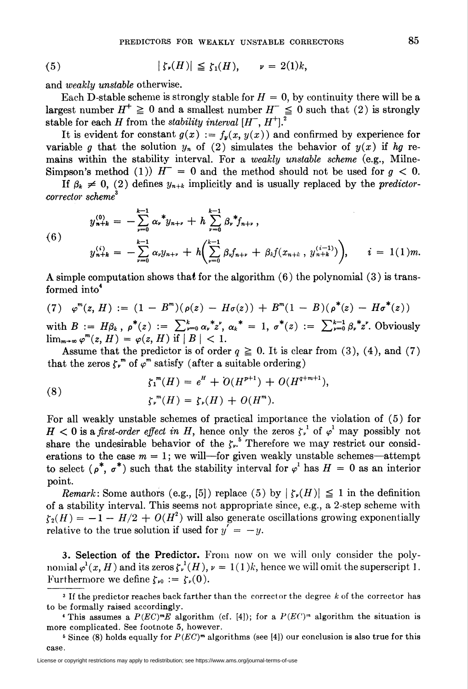and *weakly unstable* otherwise.

Each D-stable scheme is strongly stable for  $H = 0$ , by continuity there will be a largest number  $H^+ \geq 0$  and a smallest number  $H^- \leq 0$  such that (2) is strongly stable for each H from the stability interval  $[H^-, H^+]$ .

It is evident for constant  $g(x) := f_y(x, y(x))$  and confirmed by experience for variable g that the solution  $y_n$  of (2) simulates the behavior of  $y(x)$  if hg remains within the stability interval. For a *weakly unstable scheme* (e.g., Milne-Simpson's method (1))  $H^- = 0$  and the method should not be used for  $g < 0$ .

If  $\beta_k \neq 0$ , (2) defines  $y_{n+k}$  implicitly and is usually replaced by the *predictor*corrector scheme<sup>3</sup>

(6)  

$$
y_{n+k}^{(0)} = -\sum_{\nu=0}^{k-1} \alpha_{\nu}^* y_{n+\nu} + h \sum_{\nu=0}^{k-1} \beta_{\nu}^* f_{n+\nu},
$$

$$
y_{n+k}^{(i)} = -\sum_{\nu=0}^{k-1} \alpha_{\nu} y_{n+\nu} + h \Biggl( \sum_{\nu=0}^{k-1} \beta_{\nu} f_{n+\nu} + \beta_{\ell} f(x_{n+\ell}, y_{n+k}^{(i-1)}) \Biggr), \qquad i = 1 (1) m.
$$

A simple computation shows that for the algorithm  $(6)$  the polynomial  $(3)$  is transformed into<sup>4</sup>

(7) 
$$
\varphi^{m}(z, H) := (1 - B^{m})(\rho(z) - H\sigma(z)) + B^{m}(1 - B)(\rho^{*}(z) - H\sigma^{*}(z))
$$

with  $B := H\beta_k$ ,  $\rho^*(z) := \sum_{\nu=0}^k \alpha_{\nu}^* z^{\nu}$ ,  $\alpha_k^* = 1$ ,  $\sigma^*(z) := \sum_{\nu=0}^{k-1} \beta_{\nu}^* z^{\nu}$ . Obviously  $\lim_{m\to\infty}\varphi^m(z,H)=\varphi(z,H)$  if  $|B|<1$ .

Assume that the predictor is of order  $q \ge 0$ . It is clear from (3), (4), and (7) that the zeros  $\zeta_r^m$  of  $\varphi^m$  satisfy (after a suitable ordering)

(8) 
$$
\zeta_1^m(H) = e^H + O(H^{p+1}) + O(H^{q+m+1}),
$$

$$
\zeta_r^m(H) = \zeta_r(H) + O(H^m).
$$

For all weakly unstable schemes of practical importance the violation of (5) for  $H < 0$  is a first-order effect in H, hence only the zeros  $\zeta_r^{-1}$  of  $\varphi^1$  may possibly not share the undesirable behavior of the  $\zeta$ .<sup>5</sup> Therefore we may restrict our considerations to the case  $m = 1$ ; we will—for given weakly unstable schemes—attempt to select ( $\rho^*$ ,  $\sigma^*$ ) such that the stability interval for  $\varphi^1$  has  $H = 0$  as an interior point.

*Remark*: Some authors (e.g., [5]) replace (5) by  $|\zeta_r(H)| \leq 1$  in the definition of a stability interval. This seems not appropriate since, e.g., a 2-step scheme with  $\zeta_2(H) = -1 - H/2 + O(H^2)$  will also generate oscillations growing exponentially relative to the true solution if used for  $y' = -y$ .

3. Selection of the Predictor. From now on we will only consider the polynomial  $\varphi^1(x, H)$  and its zeros  $\zeta^1(H)$ ,  $\nu = 1(1)k$ , hence we will omit the superscript 1. Furthermore we define  $\zeta_{\nu 0} := \zeta_{\nu}(0)$ .

<sup>&</sup>lt;sup>3</sup> If the predictor reaches back farther than the corrector the degree  $k$  of the corrector has to be formally raised accordingly.

<sup>&</sup>lt;sup>4</sup> This assumes a  $P(EC)^{m}E$  algorithm (cf. [4]); for a  $P(E^{(')}{}^{m})$  algorithm the situation is more complicated. See footnote 5, however.

<sup>&</sup>lt;sup>5</sup> Since (8) holds equally for  $P(EC)^m$  algorithms (see [4]) our conclusion is also true for this case.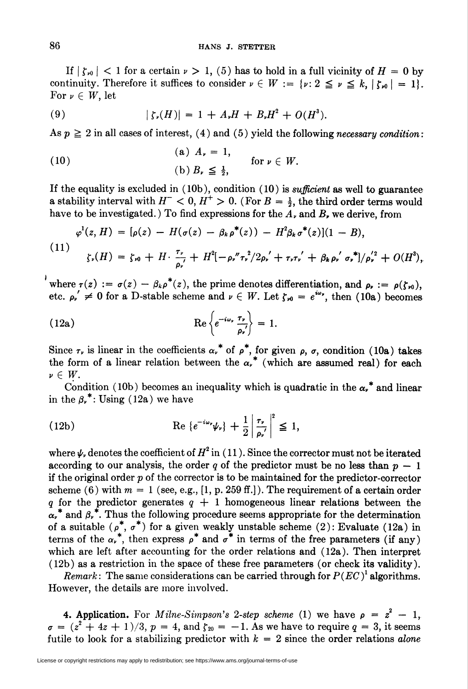If  $|\zeta_{\nu 0}|$  < 1 for a certain  $\nu > 1$ , (5) has to hold in a full vicinity of  $H = 0$  by continuity. Therefore it suffices to consider  $\nu \in W := \{ \nu : 2 \le \nu \le k, |\zeta_{\nu_0}| = 1 \}.$ For  $\nu \in W$ , let

(9) 
$$
|\zeta_v(H)| = 1 + A_v H + B_v H^2 + O(H^3).
$$

As  $p \ge 2$  in all cases of interest, (4) and (5) yield the following necessary condition:

(10)   
 (a) 
$$
A_{\nu} = 1
$$
, for  $\nu \in W$ .  
 (b)  $B_{\nu} \le \frac{1}{2}$ , for  $\nu \in W$ .

If the equality is excluded in  $(10b)$ , condition  $(10)$  is *sufficient* as well to guarantee a stability interval with  $H^- < 0$ ,  $H^+ > 0$ . (For  $B = \frac{1}{2}$ , the third order terms would have to be investigated.) To find expressions for the  $A<sub>r</sub>$  and  $B<sub>r</sub>$  we derive, from

$$
\varphi^1(z, H) = [\rho(z) - H(\sigma(z) - \beta_k \rho^*(z)) - H^2 \beta_k \sigma^*(z)](1 - B),
$$
  
(11)  

$$
\zeta_{\nu}(H) = \zeta_{\nu 0} + H \cdot \frac{\tau_{\nu}}{\rho_{\nu}} + H^2[-\rho_{\nu}'' \tau_{\nu}^2/2\rho_{\nu}'+\tau_{\nu} \tau_{\nu}'+ \beta_k \rho_{\nu}^{'} \sigma_{\nu}^{*}]/\rho_{\nu}^{'2} + O(H^3),
$$

where  $\tau(z) := \sigma(z) - \beta_k \rho^*(z)$ , the prime denotes differentiation, and  $\rho_r := \rho(\zeta_{\nu 0}),$ etc.  $\rho_{\nu}' \neq 0$  for a D-stable scheme and  $\nu \in W$ . Let  $\zeta_{\nu 0} = e^{i\omega}$ , then (10a) becomes

(12a) 
$$
\operatorname{Re}\left\{e^{-i\omega_r}\frac{\tau_r}{\rho_r'}\right\}=1.
$$

Since  $\tau_r$  is linear in the coefficients  $\alpha_r^*$  of  $\rho^*$ , for given  $\rho$ ,  $\sigma$ , condition (10a) takes the form of a linear relation between the  $\alpha^*$  (which are assumed real) for each  $\nu \in W$ .

Condition (10b) becomes an inequality which is quadratic in the  $\alpha_r^*$  and linear in the  $\beta_{\nu}^*$ : Using (12a) we have

(12b) 
$$
\operatorname{Re}\left\{e^{-i\omega_r}\psi_r\right\}+\frac{1}{2}\left|\frac{\tau_r}{\rho_r'}\right|^2\leq 1,
$$

where  $\psi$ , denotes the coefficient of  $H^2$  in (11). Since the corrector must not be iterated according to our analysis, the order q of the predictor must be no less than  $p - 1$ if the original order  $p$  of the corrector is to be maintained for the predictor-corrector scheme (6) with  $m = 1$  (see, e.g., [1, p. 259 ff.]). The requirement of a certain order q for the predictor generates  $q + 1$  homogeneous linear relations between the  $\alpha^*$  and  $\beta^*$ . Thus the following procedure seems appropriate for the determination of a suitable ( $\rho^*$ ,  $\sigma^*$ ) for a given weakly unstable scheme (2): Evaluate (12a) in terms of the  $\alpha_r^*$ , then express  $\rho^*$  and  $\sigma^*$  in terms of the free parameters (if any) which are left after accounting for the order relations and (12a). Then interpret (12b) as a restriction in the space of these free parameters (or check its validity).

*Remark*: The same considerations can be carried through for  $P(EC)^{1}$  algorithms. However, the details are more involved.

**4. Application.** For *Milne-Simpson's* 2-step scheme (1) we have  $\rho = z^2 - 1$ .  $\sigma = (z^2 + 4z + 1)/3$ ,  $p = 4$ , and  $\zeta_{20} = -1$ . As we have to require  $q = 3$ , it seems futile to look for a stabilizing predictor with  $k = 2$  since the order relations alone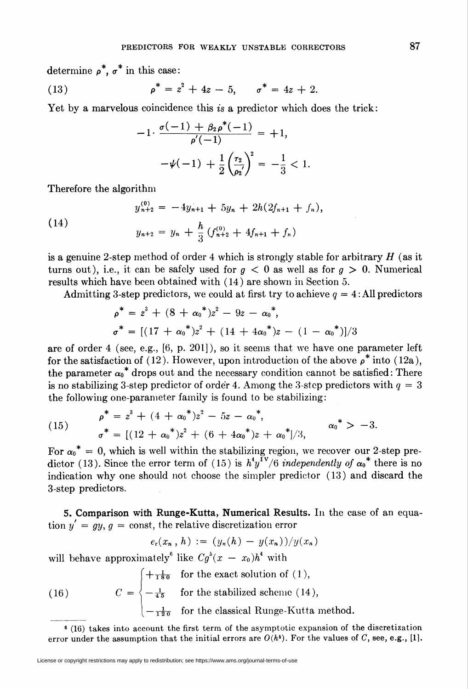determine  $\rho^*, \sigma^*$  in this case:

(13) 
$$
\rho^* = z^2 + 4z - 5, \qquad \sigma^* = 4z + 2.
$$

Yet by a marvelous coincidence this is a predictor which does the trick:

$$
-1 \cdot \frac{\sigma(-1) + \beta_2 \rho^*(-1)}{\rho'(-1)} = +1,
$$
  

$$
-\psi(-1) + \frac{1}{2} \left(\frac{\tau_2}{\rho_2'}\right)^2 = -\frac{1}{3} < 1.
$$

Therefore the algorithm

(14)  

$$
y_{n+2}^{(0)} = -4y_{n+1} + 5y_n + 2h(2f_{n+1} + f_n)
$$

$$
y_{n+2} = y_n + \frac{h}{3} (f_{n+2}^{(0)} + 4f_{n+1} + f_n)
$$

is a genuine 2-step method of order 4 which is strongly stable for arbitrary  $H$  (as it turns out), i.e., it can be safely used for  $g < 0$  as well as for  $g > 0$ . Numerical results which have been obtained with (14) are shown in Section 5.

Admitting 3-step predictors, we could at first try to achieve  $q = 4$ : All predictors

$$
\rho^* = z^3 + (8 + {\alpha_0}^*)z^2 - 9z - {\alpha_0}^*,
$$
  

$$
\sigma^* = [(17 + {\alpha_0}^*)z^2 + (14 + 4{\alpha_0}^*)z - (1 - {\alpha_0}^*)]/3
$$

are of order 4 (see, e.g., [6, p. 201]), so it seems that we have one parameter left for the satisfaction of (12). However, upon introduction of the above  $\rho^*$  into (12a), the parameter  $\alpha_0^*$  drops out and the necessary condition cannot be satisfied: There is no stabilizing 3-step predictor of order 4. Among the 3-step predictors with  $q = 3$ the following one-parameter family is found to be stabilizing:

(15) 
$$
\rho^* = z^3 + (4 + \alpha_0^*)z^2 - 5z - \alpha_0^*,
$$

$$
\sigma^* = [(12 + {\alpha_0}^*)z^2 + (6 + 4{\alpha_0}^*)z + {\alpha_0}^*]/3, \qquad \alpha_0^* > -3.
$$

For  $\alpha_0^* = 0$ , which is well within the stabilizing region, we recover our 2-step predictor (13). Since the error term of (15) is  $h^4 y^{\text{TV}}/6$  *independently of*  $\alpha_0^*$  there is no indication why one should not choose the simpler predictor (13) and discard the 3-step predictors.

S. Comparison with Runge-Kutta, Numerical Results. In the case of an equation  $y' = gy, g = \text{const}$ , the relative discretization error

$$
e_r(x_n, h) := (y_n(h) - y(x_n))/y(x_n)
$$

will behave approximately<sup>6</sup> like  $Cg^5(x - x_0)h^4$  with

(16) 
$$
C = \begin{cases} +\frac{1}{180} & \text{for the exact solution of (1),} \\ -\frac{1}{45} & \text{for the stabilized scheme (14),} \\ -\frac{1}{120} & \text{for the classical Runge-Kutta method.} \end{cases}
$$

 $6(16)$  takes into account the first term of the asymptotic expansion of the discretization error under the assumption that the initial errors are  $O(h^{\delta})$ . For the values of C, see, e.g., [1].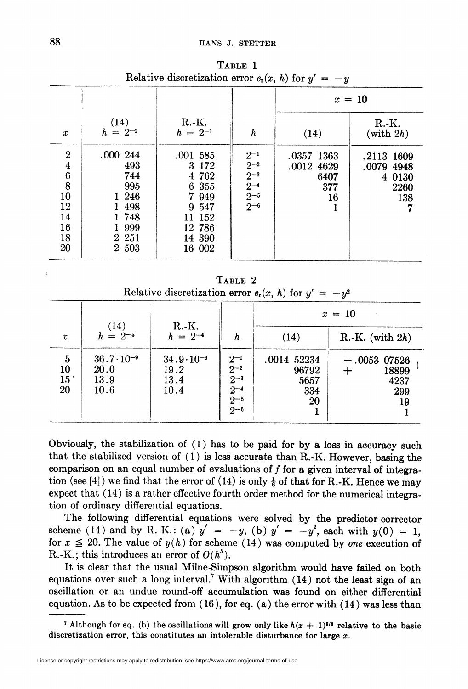|                                      |                      |                         |                                                        | $x = 10$                 |                          |  |
|--------------------------------------|----------------------|-------------------------|--------------------------------------------------------|--------------------------|--------------------------|--|
| $\boldsymbol{x}$                     | (14)<br>$h = 2^{-2}$ | $R.-K.$<br>$h = 2^{-1}$ | h                                                      | (14)                     | $R.-K.$<br>(with $2h$ )  |  |
| $\boldsymbol{2}$<br>$\boldsymbol{4}$ | .000244<br>493       | $.001$ 585<br>3 172     | $2^{-1}$<br>$2^{-2}$                                   | .0357 1363<br>.0012 4629 | .2113 1609<br>.0079 4948 |  |
| $\bf{6}$<br>8<br>10                  | 744<br>995<br>1 246  | 4 762<br>6 355<br>7949  | $\frac{2}{2^{-3}}$<br>$2^{-4}$<br>$2^{-5}$<br>$2^{-6}$ | 6407<br>377<br>16        | 4 0130<br>2260<br>138    |  |
| 12<br>14                             | 1 4 9 8<br>1748      | 9 5 4 7<br>152<br>11    |                                                        |                          |                          |  |
| 16<br>18                             | 1 9 9 9<br>2 2 5 1   | 12 786<br>14 390        |                                                        |                          |                          |  |
| 20                                   | 2 503                | 16 002                  |                                                        |                          |                          |  |

Table 1 Relative discretization error  $e_r(x, h)$  for  $y' = -y$ 

TABLE 2 Relative discretization error  $e_r(x, h)$  for  $y' = -y^2$ 

|                                                      |                                                                             |                                                                         |                                                                          |                                                   | $x = 10$                                                           |
|------------------------------------------------------|-----------------------------------------------------------------------------|-------------------------------------------------------------------------|--------------------------------------------------------------------------|---------------------------------------------------|--------------------------------------------------------------------|
| $\boldsymbol{x}$<br>5<br>10<br>15 <sup>°</sup><br>20 | (14)<br>$h = 2^{-5}$<br>$36.7 \cdot 10^{-9}$<br><b>20.0</b><br>13.9<br>10.6 | $R.-K.$<br>$h = 2^{-4}$<br>$34.9 \cdot 10^{-9}$<br>19.2<br>13.4<br>10.4 | h<br>$2^{-1}$<br>$2^{-2}$<br>$2^{-3}$<br>$2^{-4}$<br>$2 - 5$<br>$2^{-6}$ | (14)<br>.0014 52234<br>96792<br>5657<br>334<br>20 | R.-K. (with $2h$ )<br>$-.0053$ 07526<br>18899<br>4237<br>299<br>19 |

Obviously, the stabilization of  $(1)$  has to be paid for by a loss in accuracy such that the stabilized version of  $(1)$  is less accurate than R.-K. However, basing the comparison on an equal number of evaluations of  $f$  for a given interval of integration (see [4]) we find that the error of (14) is only  $\frac{1}{6}$  of that for R.-K. Hence we may expect that (14) is a rather effective fourth order method for the numerical integration of ordinary differential equations.

The following differential equations were solved by the predictor-corrector scheme (14) and by R.-K.: (a)  $y' = -y$ , (b)  $y' = -y^2$ , each with  $y(0) = 1$ , for  $x \le 20$ . The value of  $y(h)$  for scheme (14) was computed by one execution of R.-K.; this introduces an error of  $O(h^6)$ .

It is clear that the usual Milne-Simpson algorithm would have failed on both equations over such a long interval.<sup>7</sup> With algorithm  $(14)$  not the least sign of an oscillation or an undue round-off accumulation was found on either differential equation. As to be expected from  $(16)$ , for eq.  $(a)$  the error with  $(14)$  was less than

<sup>7</sup> Although for eq. (b) the oscillations will grow only like  $h(x + 1)^{8/3}$  relative to the basic discretization error, this constitutes an intolerable disturbance for large  $x$ .